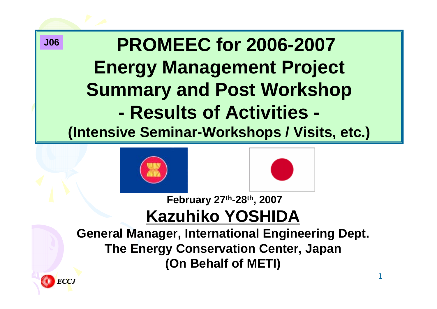**PROMEEC for 2006-2007 Energy Management Project Summary and Post Workshop - Results of Activities - (Intensive Seminar-Workshops / Visits, etc.) J06**





#### **February 27th-28th, 2007 Kazuhiko YOSHIDA**

**General Manager, International Engineering Dept. The Energy Conservation Center, Japan (On Behalf of METI)**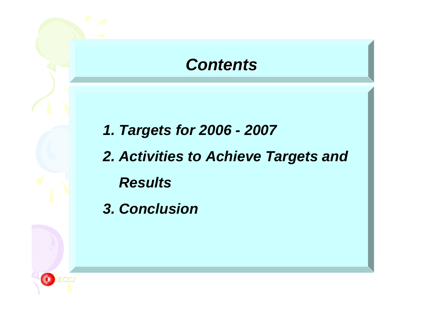#### *Contents Contents*

*1. Targets for 2006 - 2007*

*2. Activities to Achieve Targets and Results*

*3. Conclusion*

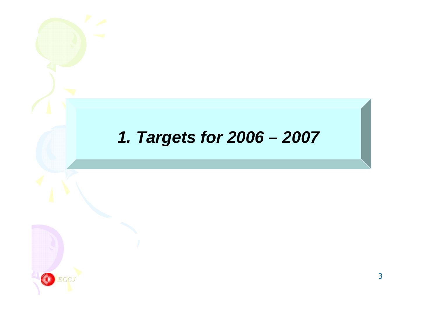#### *1. Targets for 2006 – 2007*

*ECCJ*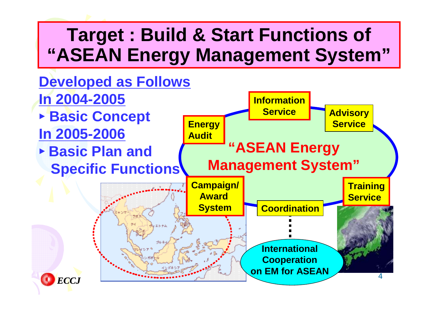## **Target : Build & Start Functions of "ASEAN Energy Management System"**

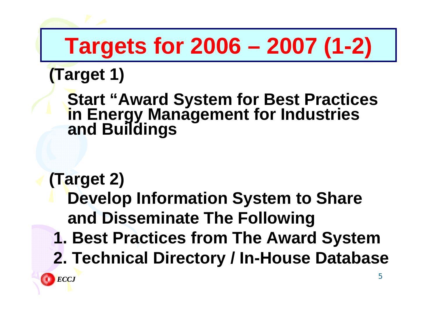# **Targets for 2006 – 2007 (1-2)**

#### **(Target 1)**

# **Start "Award System for Best Practices in Energy Management for Industries and Buildings**

# **(Target 2)**

**Develop Information System to Share and Disseminate The Following**

- **1. Best Practices from The Award System**
- **2. Technical Directory / In-House Database**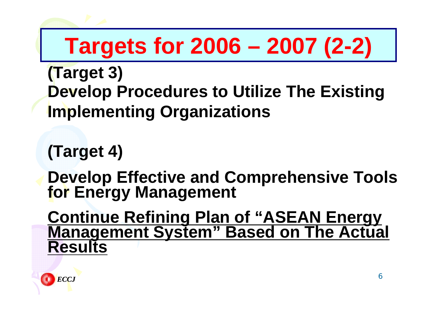# **Targets for 2006 – 2007 (2-2)**

- **(Target 3) Develop Procedures to Utilize The Existing Implementing Organizations**
- **(Target 4)**
- **Develop Effective and Comprehensive Tools for Energy Management**
- **Continue Refining Plan of "ASEAN Energy Management System" Based on The Actual Results**

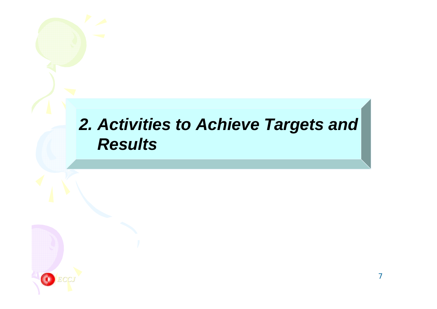#### *2. Activities to Achieve Targets and Results*

*ECCJ*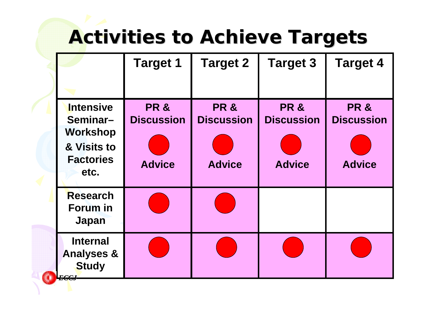# **Activities to Achieve Targets Activities to Achieve Targets**

|                                                                                            | <b>Target 1</b>                                      | <b>Target 2</b>                                       | <b>Target 3</b>                                       | <b>Target 4</b>                                       |
|--------------------------------------------------------------------------------------------|------------------------------------------------------|-------------------------------------------------------|-------------------------------------------------------|-------------------------------------------------------|
|                                                                                            |                                                      |                                                       |                                                       |                                                       |
| <b>Intensive</b><br>Seminar-<br><b>Workshop</b><br>& Visits to<br><b>Factories</b><br>etc. | <b>PR&amp;</b><br><b>Discussion</b><br><b>Advice</b> | <b>PR &amp;</b><br><b>Discussion</b><br><b>Advice</b> | <b>PR &amp;</b><br><b>Discussion</b><br><b>Advice</b> | <b>PR &amp;</b><br><b>Discussion</b><br><b>Advice</b> |
| <b>Research</b><br>Forum in<br><b>Japan</b>                                                |                                                      |                                                       |                                                       |                                                       |
| <b>Internal</b><br><b>Analyses &amp;</b><br><b>Study</b><br><i>ECCJ</i>                    |                                                      |                                                       |                                                       |                                                       |

0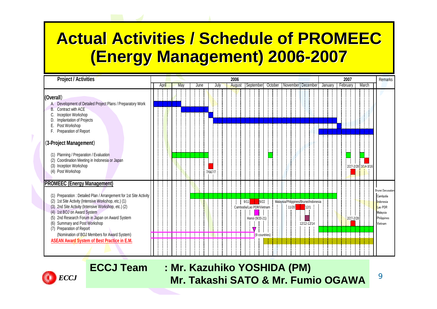#### **Actual Activities / Schedule of PROMEEC (Energy Management) 2006 (Energy Management) 2006 -2007**

| <b>Project / Activities</b>                                                                                                                                                                                                                                                                                                                                                                                                                                                                       |       |  |     |  |      |         |      |  | 2006          |                                  |                                          |         |                                      |       |                   |             |      |  |         | 2007 |          |           |  |       |                     | <b>Remarks</b>                                                                              |
|---------------------------------------------------------------------------------------------------------------------------------------------------------------------------------------------------------------------------------------------------------------------------------------------------------------------------------------------------------------------------------------------------------------------------------------------------------------------------------------------------|-------|--|-----|--|------|---------|------|--|---------------|----------------------------------|------------------------------------------|---------|--------------------------------------|-------|-------------------|-------------|------|--|---------|------|----------|-----------|--|-------|---------------------|---------------------------------------------------------------------------------------------|
|                                                                                                                                                                                                                                                                                                                                                                                                                                                                                                   | April |  | May |  | June |         | July |  | <b>August</b> | September                        |                                          | October |                                      |       | November December |             |      |  | January |      | February |           |  | March |                     |                                                                                             |
| (Overall)<br>Development of Detailed Project Plans / Preparatory Work<br>А.<br>Contract with ACE<br>B.<br>Inception Workshop<br>Implantation of Projects<br>Post Workshop<br>Е.<br>Preparation of Report<br>F.                                                                                                                                                                                                                                                                                    |       |  |     |  |      |         |      |  |               |                                  |                                          |         |                                      |       |                   |             |      |  |         |      |          |           |  |       |                     |                                                                                             |
| (3-Project Management)<br>Planning / Preparation / Evaluation<br>(1)<br>Coordination Meeting in Indonesia or Japan<br>(2)<br>(3)<br>Inception Workshop<br>(4) Post Workshop                                                                                                                                                                                                                                                                                                                       |       |  |     |  |      | 7/6&7/7 |      |  |               |                                  |                                          |         |                                      |       |                   |             |      |  |         |      |          |           |  |       | 2/27-2/28 3/14-3/16 |                                                                                             |
| <b>PROMEEC (Energy Management)</b><br>Preparation : Detailed Plan / Arrangement for 1st Site Activity<br>(1)<br>1st Site Activity (Intensive Workshop, etc.) (1)<br>(2)<br>2nd Site Activity (Intensive Workshop, etc.) (2)<br>(3)<br>1st BOJ on Award System<br>(4)<br>2nd Research Forum in Japan on Award System<br>(5)<br>Summary and Post Workshop<br>(6)<br>(7) Preparation of Report<br>(Nomination of BOJ Members for Award System)<br><b>ASEAN Award System of Best Practice in E.M.</b> |       |  |     |  |      |         |      |  |               | 9/11<br>Cambodia/Lao PDR/Vietnam | 9/22<br>Hanoi (9/20-21)<br>(9 countries) |         | Malaysia/Phlippines/Brunei/Indonesia | 11/20 |                   | 12/12-12/14 | 12/1 |  |         |      |          | 2/27-2/28 |  |       |                     | Brunei Darussalam<br>Cambpdia<br>Indonesia<br>Lao PDR<br>Malaysia<br>Philippines<br>Vietnam |



**ECCJ Team : Mr. Kazuhiko YOSHIDA (PM) Mr. Takashi SATO & Mr. Fumio OGAWA**

9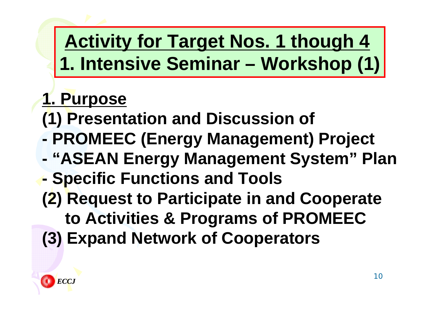# **Activity for Target Nos. 1 though 4 1. Intensive Seminar – Workshop (1)**

## **1. Purpose**

- **(1) Presentation and Discussion of**
- **- PROMEEC (Energy Management) Project**
- **- "ASEAN Energy Management System" Plan**
- **- Specific Functions and Tools**
- **(2) Request to Participate in and Cooperate**
	- **to Activities & Programs of PROMEEC**
- **(3) Expand Network of Cooperators**

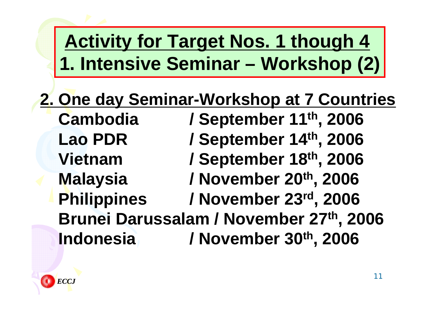# **Activity for Target Nos. 1 though 4 1. Intensive Seminar – Workshop (2)**

## **2. One day Seminar-Workshop at 7 Countries**

**Cambodia / September 11th, 2006 Lao PDR / September 14th, 2006 Vietnam / September 18th, 2006 Malaysia / November 20th, 2006 Philippines / November 23rd, 2006 Brunei Darussalam / November 27th, 2006 Indonesia / November 30th, 2006**

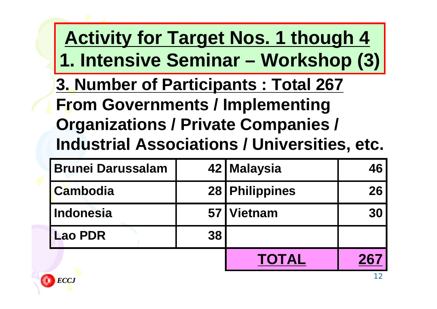**3. Number of Participants : Total 267 From Governments / Implementing Organizations / Private Companies / Industrial Associations / Universities, etc. Activity for Target Nos. 1 though 4 1. Intensive Seminar – Workshop (3)**

| <b>Brunei Darussalam</b> |    | 42   Malaysia    | 46 |
|--------------------------|----|------------------|----|
| <b>Cambodia</b>          |    | 28   Philippines | 26 |
| Indonesia                |    | 57   Vietnam     | 30 |
| <b>Lao PDR</b>           | 38 |                  |    |
|                          |    | <b>TOTAL</b>     |    |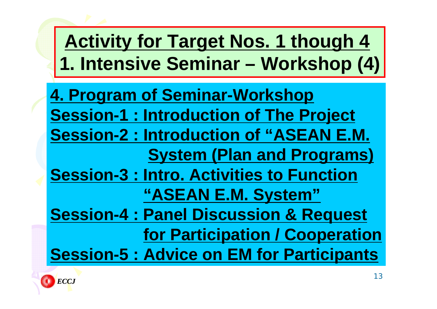# **4. Program of Seminar-Workshop Session-1 : Introduction of The Project Session-2 : Introduction of "ASEAN E.M. System (Plan and Programs) Session-3 : Intro. Activities to Function "ASEAN E.M. System" Session-4 : Panel Discussion & Request for Participation / Cooperation Session-5 : Advice on EM for Participants Activity for Target Nos. 1 though 4 1. Intensive Seminar – Workshop (4)**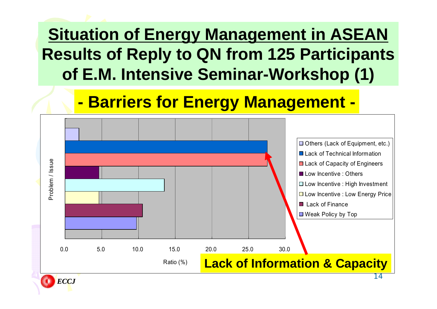#### **Situation of Energy Management in ASEAN Results of Reply to QN from 125 Participants of E.M. Intensive Seminar-Workshop (1)**

#### **- Barriers for Energy Management -**



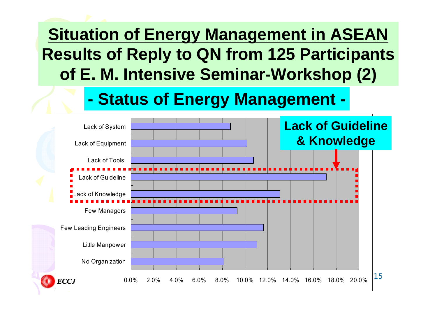#### **Situation of Energy Management in ASEAN Results of Reply to QN from 125 Participants of E. M. Intensive Seminar-Workshop (2)**

#### **- Status of Energy Management -**

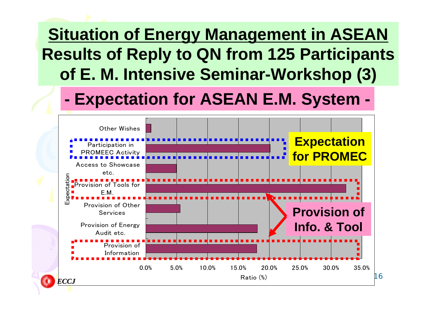#### **Situation of Energy Management in ASEAN Results of Reply to QN from 125 Participants of E. M. Intensive Seminar-Workshop (3)**

#### **- Expectation for ASEAN E.M. System -**

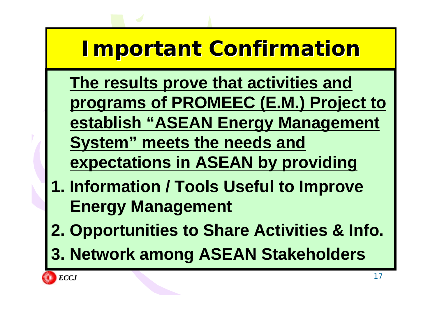# **Important Confirmation Important Confirmation**

- **The results prove that activities and programs of PROMEEC (E.M.) Project to establish "ASEAN Energy Management System" meets the needs and**
- **expectations in ASEAN by providing**
- **1. Information / Tools Useful to Improve Energy Management**
- **2. Opportunities to Share Activities & Info.**
- **3. Network among ASEAN Stakeholders**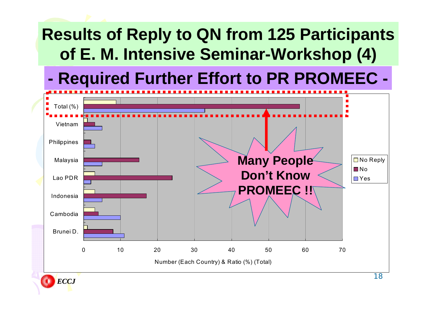#### **Results of Reply to QN from 125 Participants of E. M. Intensive Seminar-Workshop (4)**

#### **Required Further Effort to PR PROMEEC -**



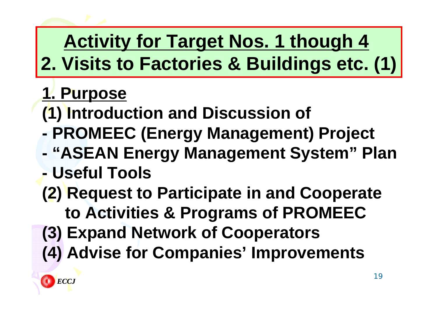# **Activity for Target Nos. 1 though 4 2. Visits to Factories & Buildings etc. (1)**

## **1. Purpose**

- **(1) Introduction and Discussion of**
- **- PROMEEC (Energy Management) Project**
- **- "ASEAN Energy Management System" Plan**
- **- Useful Tools**
- **(2) Request to Participate in and Cooperate to Activities & Programs of PROMEEC**
- **(3) Expand Network of Cooperators**
- **(4) Advise for Companies' Improvements**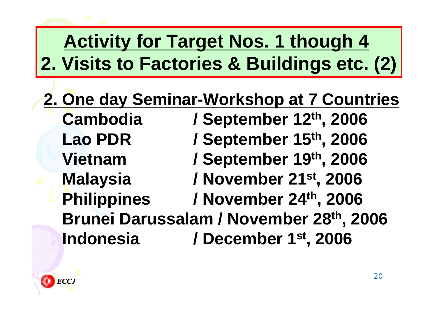# **Activity for Target Nos. 1 though 4 2. Visits to Factories & Buildings etc. (2)**

#### **2. One day Seminar-Workshop at 7 Countries Cambodia / September 12th, 2006 Lao PDR / September 15th, 2006 Vietnam / September 19th, 2006 Malaysia / November 21st, 2006 Philippines / November 24th, 2006 Brunei Darussalam / November 28th, 2006 Indonesia / December 1st, 2006**

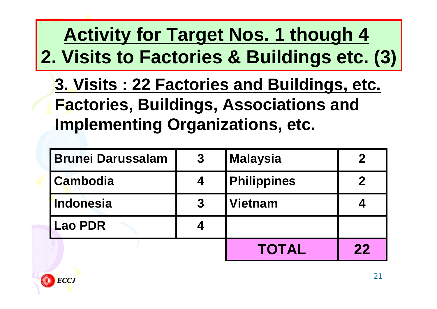# **Activity for Target Nos. 1 though 4 2. Visits to Factories & Buildings etc. (3)**

**3. Visits : 22 Factories and Buildings, etc. Factories, Buildings, Associations and Implementing Organizations, etc.**

| <b>Brunei Darussalam</b> | $\boldsymbol{3}$ | <b>Malaysia</b>    |    |
|--------------------------|------------------|--------------------|----|
| Cambodia                 |                  | <b>Philippines</b> |    |
| <b>Indonesia</b>         | 3                | <b>Vietnam</b>     |    |
| <b>Lao PDR</b>           |                  |                    |    |
|                          |                  | <b>TOTAL</b>       | 22 |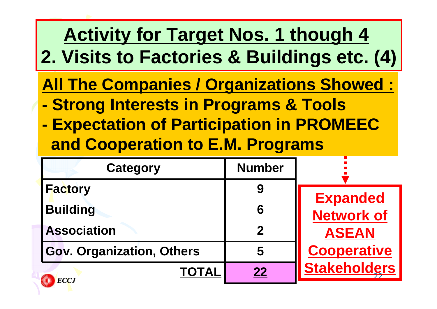# **Activity for Target Nos. 1 though 4 2. Visits to Factories & Buildings etc. (4)**

- **All The Companies / Organizations Showed :**
- **- Strong Interests in Programs & Tools**
- **- Expectation of Participation in PROMEEC and Cooperation to E.M. Programs**

| <b>Category</b>           | <b>Number</b> |                     |
|---------------------------|---------------|---------------------|
| <b>Factory</b>            | 9             | <b>Expanded</b>     |
| <b>Building</b>           | 6             | <b>Network of</b>   |
| <b>Association</b>        | 2             | <b>ASEAN</b>        |
| Gov. Organization, Others | 5             | <b>Cooperative</b>  |
| <b>TOTAL</b><br>ECCJ      | 22            | <b>Stakeholders</b> |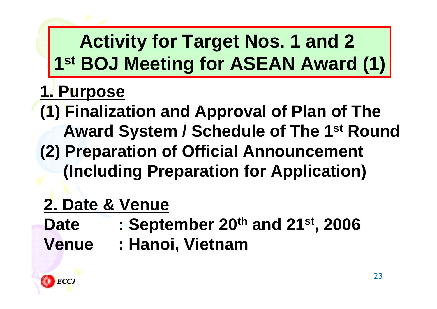# **Activity for Target Nos. 1 and 2 1st BOJ Meeting for ASEAN Award (1)**

#### **1. Purpose**

**(1) Finalization and Approval of Plan of The Award System / Schedule of The 1st Round (2) Preparation of Official Announcement (Including Preparation for Application)**

# **2. Date & Venue**

- **Date : September 20th and 21st, 2006**
- **Venue : Hanoi, Vietnam**

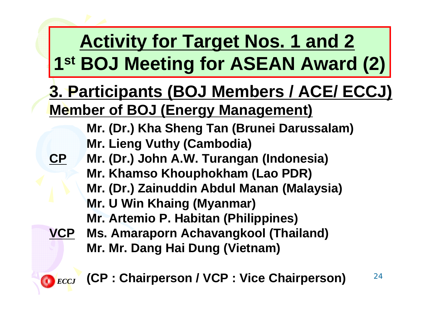# **Activity for Target Nos. 1 and 2 1st BOJ Meeting for ASEAN Award (2)**

#### **3. Participants (BOJ Members / ACE/ ECCJ) Member of BOJ (Energy Management)**

**Mr. (Dr.) Kha Sheng Tan (Brunei Darussalam) Mr. Lieng Vuthy (Cambodia)**

- **Mr. (Dr.) John A.W. Turangan (Indonesia)**
- **Mr. Khamso Khouphokham (Lao PDR) Mr. (Dr.) Zainuddin Abdul Manan (Malaysia) Mr. U Win Khaing (Myanmar)**

**Mr. Artemio P. Habitan (Philippines)**

**VCP Ms. Amaraporn Achavangkool (Thailand) Mr. Mr. Dang Hai Dung (Vietnam)**

*ECCJ*

**CP**

#### **(CP : Chairperson / VCP : Vice Chairperson)**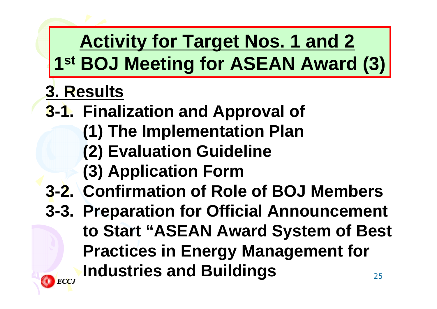# **Activity for Target Nos. 1 and 2 1st BOJ Meeting for ASEAN Award (3)**

# **3. Results**

- **3-1. Finalization and Approval of** 
	- **(1) The Implementation Plan**
	- **(2) Evaluation Guideline**
	- **(3) Application Form**
- **3-2. Confirmation of Role of BOJ Members**
- 25**3-3. Preparation for Official Announcement to Start "ASEAN Award System of Best Practices in Energy Management for Industries and Buildings**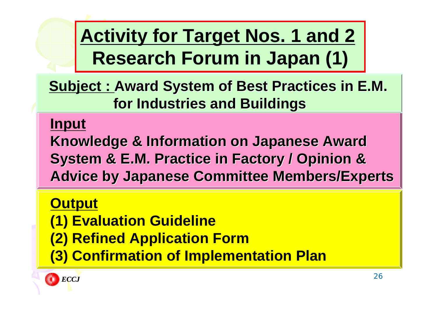**Activity for Target Nos. 1 and 2 Research Forum in Japan (1)**

**<u>Subject : Award System of Best Practices in E.M.</u> for Industries and Buildings for Industries and Buildings**

#### **Input**

**Knowledge & Information on Japanese Award System & E.M. Practice in Factory / Opinion & System & E.M. Practice in Factory / Opinion & Advice by Japanese Committee Members/Experts** 

#### **Output**

- **(1) Evaluation Guideline**
- **(2) Refined Application Form**
- **(3) Confirmation of Implementation Plan**

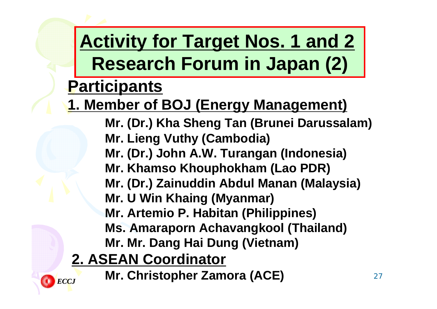# **Activity for Target Nos. 1 and 2 Research Forum in Japan (2)**

#### **Participants**

#### **1. Member of BOJ (Energy Management)**

**Mr. (Dr.) Kha Sheng Tan (Brunei Darussalam)**

**Mr. Lieng Vuthy (Cambodia)**

**Mr. (Dr.) John A.W. Turangan (Indonesia)**

**Mr. Khamso Khouphokham (Lao PDR)**

**Mr. (Dr.) Zainuddin Abdul Manan (Malaysia)**

**Mr. U Win Khaing (Myanmar)**

**Mr. Artemio P. Habitan (Philippines)**

**Ms. Amaraporn Achavangkool (Thailand)**

**Mr. Mr. Dang Hai Dung (Vietnam)**

#### **2. ASEAN Coordinator**

**Mr. Christopher Zamora (ACE)**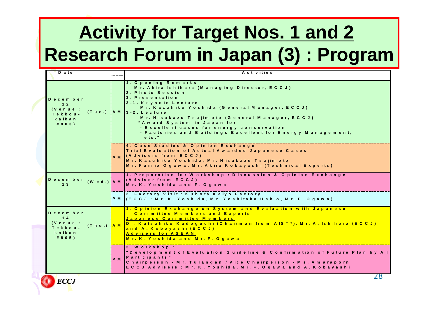# **Activity for Target Nos. 1 and 2 Research Forum in Japan (3) : Program**

| D a te                                                                               |                | A c tivities                                                                                                                                                                                                                                                                                                                                                                                                   |
|--------------------------------------------------------------------------------------|----------------|----------------------------------------------------------------------------------------------------------------------------------------------------------------------------------------------------------------------------------------------------------------------------------------------------------------------------------------------------------------------------------------------------------------|
|                                                                                      |                |                                                                                                                                                                                                                                                                                                                                                                                                                |
| December<br>12<br>(Venue :<br>$(Tue.)$ $IA M$<br>Tekkou-<br>kaikan<br># 8 0 3)       |                | 1. Opening Remarks<br>Mr. Akira Ishihara (Managing Director, ECCJ)<br>2. Photo Session<br>3. Presentation<br>3-1. Keynote Lecture<br>Mr. Kazuhiko Yoshida (General Manager, ECCJ)<br>$3 - 2$ . Lecture<br>Mr. Hisakazu Tsujim oto (General Manager, ECCJ)<br>"Award System in Japan for<br>- Excellent cases for energy conservation<br>- Factories and Buildings Excellent for Energy Management,<br>$e$ tc." |
|                                                                                      | P <sub>M</sub> | 4. Case Studies & Opinion Exchange<br>Trial Evaluation of Actual Awarded Japanese Cases<br>(Advisers from ECCJ)<br>Mr. Kazuhiko Yoshida, Mr. Hisakazu Tsujimoto<br>Mr. Fumio Ogawa, Mr. Akira Kobayashi (Technical Experts)                                                                                                                                                                                    |
| December (Wed.) AM<br>13                                                             |                | 1. Preparation for Workshop: Discussion & Opinion Exchange<br>(Adviser from ECCJ)<br>Mr. K. Yoshida and F. Ogawa                                                                                                                                                                                                                                                                                               |
|                                                                                      |                | 2 . Factory Visit : Kubota Keiyo Factory<br>P M 【E C C J : M r. K . Y o s h id a , M r . Y o s h ita k a U s h io , M r . F . O g a w a )                                                                                                                                                                                                                                                                      |
| December<br>14<br>(Venue:<br>(Thu.) <mark>AM</mark><br>Tekkou-<br>kaikan<br># 8 0 5) |                | 1. Opinion Exchange on System and Evaluation with Japanese<br>Committee Members and Experts<br>Japanese Committee Members<br>Dr. Katsuhiko Kadoguchi (Chairman from AIST <sup>*</sup> ), Mr. A. Ishihara (ECCJ)<br>and A. Kobayashi (ECCJ)<br>Advisers for ASEAN<br>Mr. K. Yoshida and Mr. F. Ogawa                                                                                                            |
|                                                                                      | P <sub>M</sub> | 2. Workshop:<br>"Development of Evaluation Guideline & Confirmation of Future Plan by All<br>Participants"<br>Chairperson - Mr. Turangan / Vice Chairperson - Ms. Amaraporn<br>ECCJ Advisers : Mr. K. Yoshida, Mr. F. Ogawa and A. Kobayashi                                                                                                                                                                   |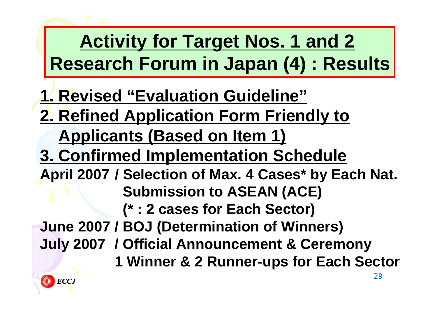# **Activity for Target Nos. 1 and 2 Research Forum in Japan (4) : Results**

- **1. Revised "Evaluation Guideline"**
- **2. Refined Application Form Friendly to**
	- **Applicants (Based on Item 1)**
- **3. Confirmed Implementation Schedule**
- **April 2007 / Selection of Max. 4 Cases\* by Each Nat. Submission to ASEAN (ACE) (\* : 2 cases for Each Sector)**
- **June 2007 / BOJ (Determination of Winners)**
- **July 2007 / Official Announcement & Ceremony**
	- **1 Winner & 2 Runner-ups for Each Secto**

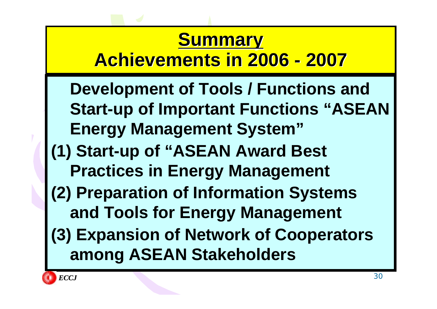## **Summary Summary Achievements in 2006 - 2007**

**Development of Tools / Functions and Start-up of Important Functions "ASEAN Energy Management System" (1) Start-up of "ASEAN Award Best Practices in Energy Management (2) Preparation of Information Systems and Tools for Energy Management (3) Expansion of Network of Cooperators among ASEAN Stakeholders**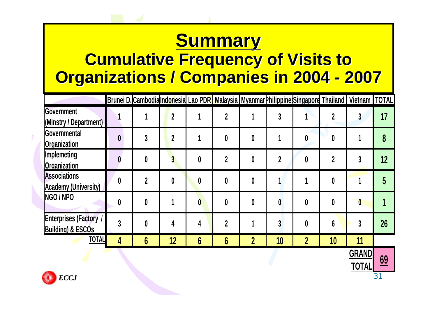# **Summary Summary**

#### **Cumulative Frequency of Visits to Organizations / Companies in 2004 - 2007**

|                                                               |   | Brunei D. Cambodia Indonesia Lao PDR Malaysia Myanmar Philippine Singapore Thailand   Vietnam   TOTAL |                |   |             |                  |    |                |                |                  |    |
|---------------------------------------------------------------|---|-------------------------------------------------------------------------------------------------------|----------------|---|-------------|------------------|----|----------------|----------------|------------------|----|
| Government<br>(Minstry / Department)                          |   |                                                                                                       | $\overline{2}$ |   | $\mathbf 2$ |                  |    |                |                | 3                | 17 |
| Governmental<br><b>Organization</b>                           |   | 3                                                                                                     | $\mathbf 2$    |   |             | 0                |    | 0              | 0              |                  | 8  |
| Implemeting<br><b>Organization</b>                            |   | 0                                                                                                     | $\overline{3}$ | 0 |             | 0                |    | 0              |                |                  | 12 |
| <b>Associations</b><br><b>Academy (University)</b>            | 0 | $\boldsymbol{\mathcal{D}}$                                                                            | 0              | 0 |             | 0                |    |                | 0              |                  |    |
| NGO / NPO                                                     |   | 0                                                                                                     |                | 0 |             | 0                | 0  | 0              | 0              | $\boldsymbol{0}$ |    |
| <b>Enterprises (Factory /</b><br><b>Building) &amp; ESCOs</b> |   | 0                                                                                                     | 4              |   | $\mathbf 2$ |                  |    | 0              | $6\phantom{a}$ | 3                | 26 |
| <b>TOTAL</b>                                                  | 4 | 6                                                                                                     | 12             | 6 | 6           | $\boldsymbol{2}$ | 10 | $\overline{2}$ | 10             | 11               |    |



**<sup>69</sup>**

**GRAND**

**TOTAL**